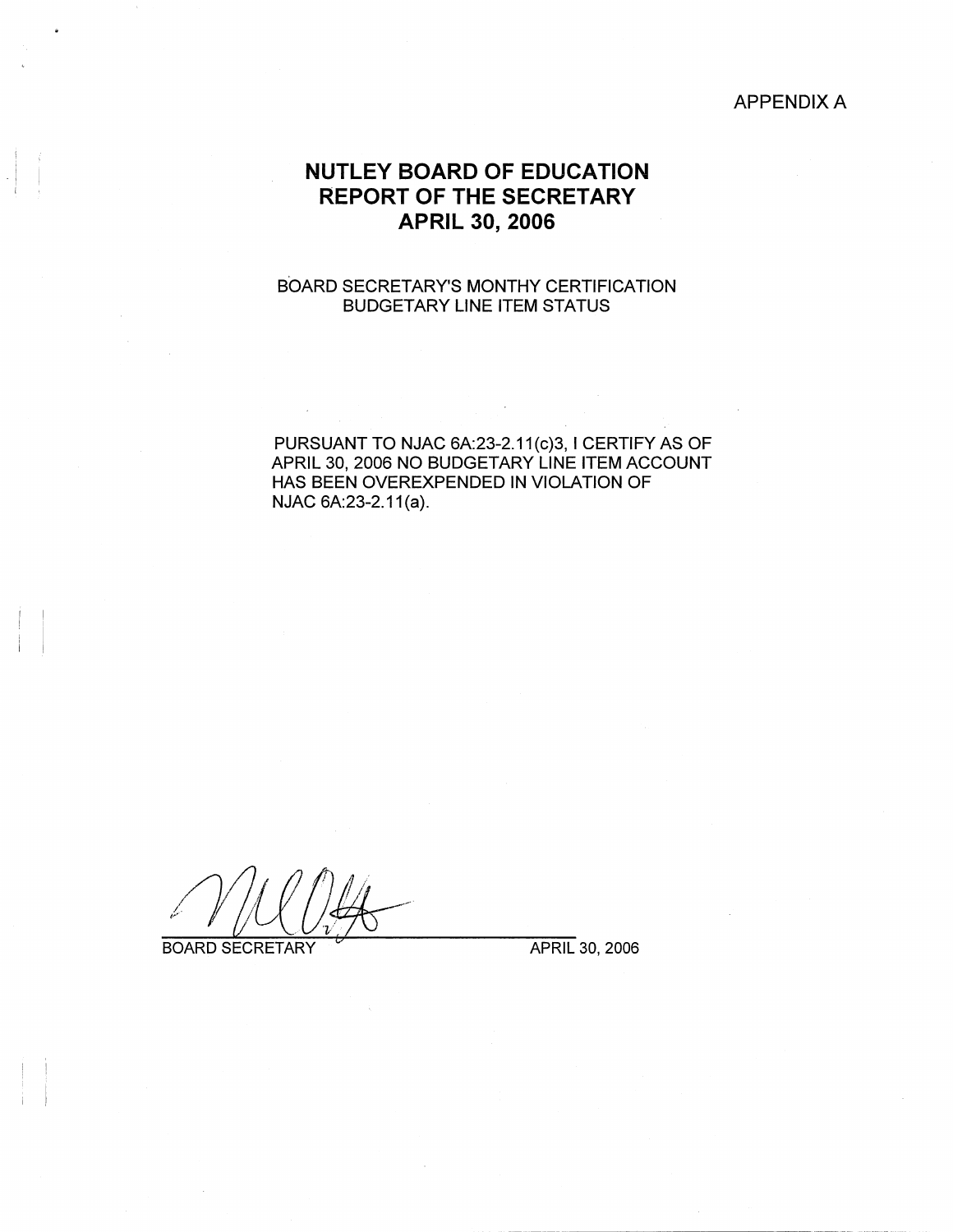## APPENDIX A

# **NUTLEY BOARD OF EDUCATION REPORT OF THE SECRETARY APRIL 30, 2006**

## BOARD SECRETARY'S MONTHY CERTIFICATION BUDGETARY LINE ITEM STATUS

PURSUANT TO NJAC 6A:23-2.11(c)3, I CERTIFY AS OF APRIL 30, 2006 NO BUDGETARY LINE ITEM ACCOUNT HAS BEEN OVEREXPENDED IN VIOLATION OF NJAC 6A:23-2.11(a).

**BOARD SECRETARY** 

i I I

 $\mathbf{i}$ 

APRIL 30, 2006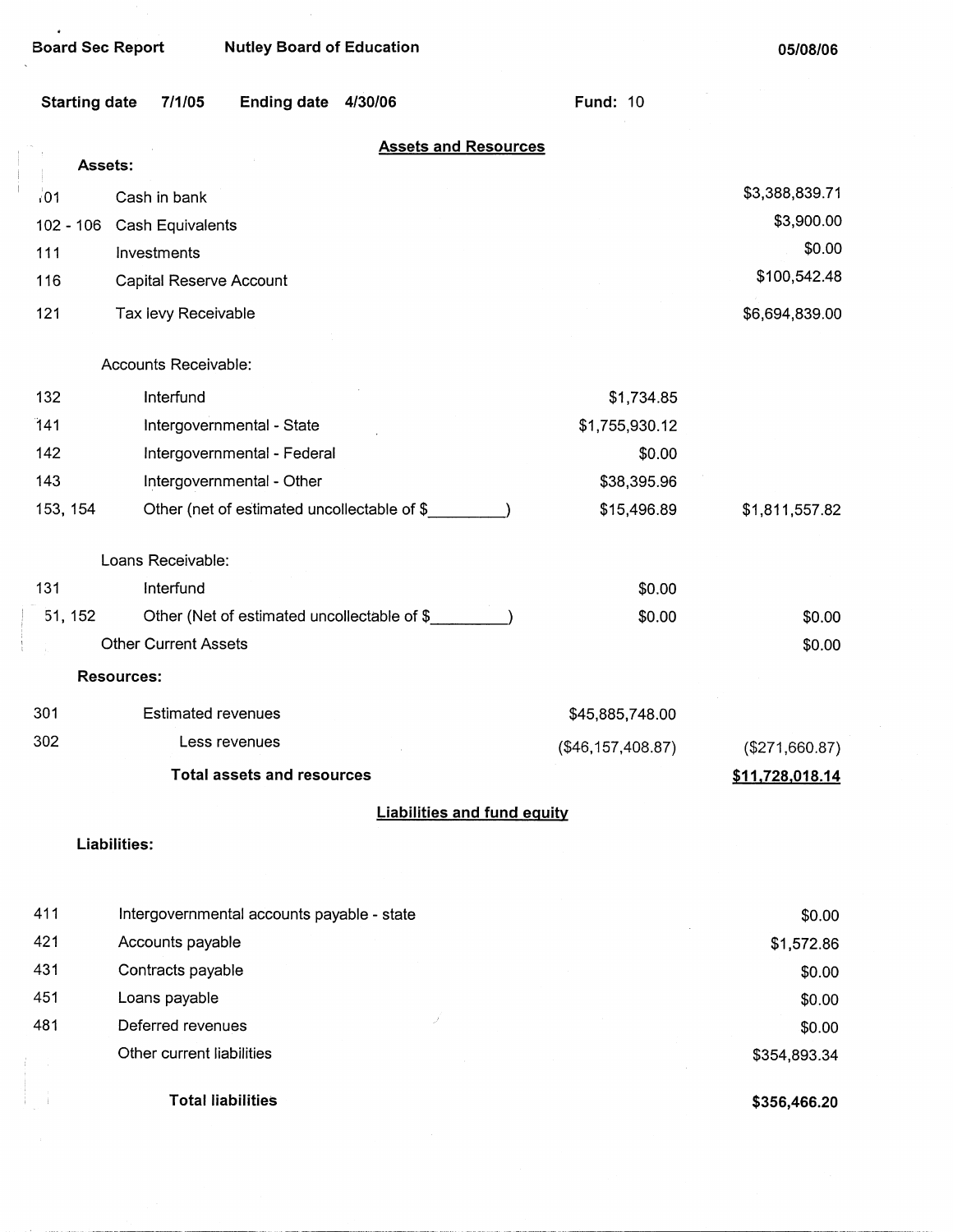$\bullet$ 

**Board Sec Report Nutley Board of Education** 

**05/08/06** 

|             | <b>Starting date</b><br>7/1/05<br><b>Ending date</b><br>4/30/06 | <b>Fund: 10</b>   |                 |
|-------------|-----------------------------------------------------------------|-------------------|-----------------|
|             | <b>Assets and Resources</b><br>Assets:                          |                   |                 |
| 101         | Cash in bank                                                    |                   | \$3,388,839.71  |
| $102 - 106$ | <b>Cash Equivalents</b>                                         |                   | \$3,900.00      |
| 111         | Investments                                                     |                   | \$0.00          |
| 116         | Capital Reserve Account                                         |                   | \$100,542.48    |
| 121         | Tax levy Receivable                                             |                   | \$6,694,839.00  |
|             | Accounts Receivable:                                            |                   |                 |
| 132         | Interfund                                                       | \$1,734.85        |                 |
| 141         | Intergovernmental - State                                       | \$1,755,930.12    |                 |
| 142         | Intergovernmental - Federal                                     | \$0.00            |                 |
| 143         | Intergovernmental - Other                                       | \$38,395.96       |                 |
| 153, 154    | Other (net of estimated uncollectable of \$                     | \$15,496.89       | \$1,811,557.82  |
|             | Loans Receivable:                                               |                   |                 |
| 131         | Interfund                                                       | \$0.00            |                 |
| 51, 152     | Other (Net of estimated uncollectable of \$                     | \$0.00            | \$0.00          |
|             | <b>Other Current Assets</b>                                     |                   | \$0.00          |
|             | <b>Resources:</b>                                               |                   |                 |
| 301         | <b>Estimated revenues</b>                                       | \$45,885,748.00   |                 |
| 302         | Less revenues                                                   | (\$46,157,408.87) | (\$271,660.87)  |
|             | <b>Total assets and resources</b>                               |                   | \$11,728,018.14 |
|             | <b>Liabilities and fund equity</b>                              |                   |                 |
|             | Liabilities:                                                    |                   |                 |
| 411         | Intergovernmental accounts payable - state                      |                   | \$0.00          |
| 421         | Accounts payable                                                |                   | \$1,572.86      |
| 431         | Contracts payable                                               |                   | \$0.00          |
| 451         | Loans payable                                                   |                   | \$0.00          |
| 481         | Deferred revenues                                               |                   | \$0.00          |
|             | Other current liabilities                                       |                   | \$354,893.34    |
|             | <b>Total liabilities</b>                                        |                   | \$356,466.20    |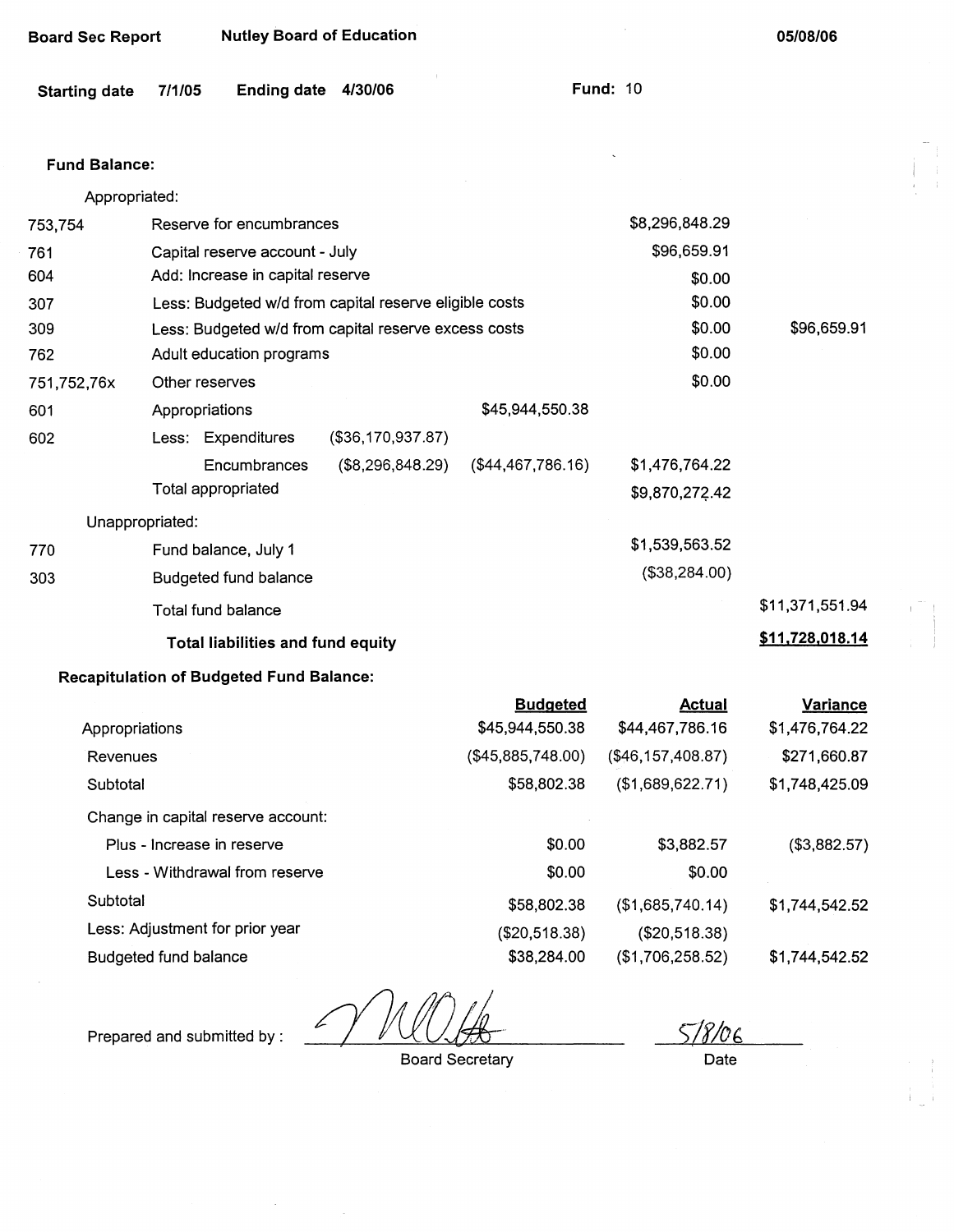| Board Sec Report | <b>Nutley Board of Education</b> |
|------------------|----------------------------------|
|------------------|----------------------------------|

**05/08/06** 

**Fund: 10** 

 $\bar{\mathcal{L}}$ 

 $\sim 10^7$ 

#### **Fund Balance:**

| Appropriated:                                               |                                                        |                   |                   |                |                 |  |  |
|-------------------------------------------------------------|--------------------------------------------------------|-------------------|-------------------|----------------|-----------------|--|--|
| 753,754                                                     | Reserve for encumbrances                               |                   |                   | \$8,296,848.29 |                 |  |  |
| 761                                                         | Capital reserve account - July                         |                   |                   | \$96,659.91    |                 |  |  |
| 604                                                         | Add: Increase in capital reserve                       |                   |                   | \$0.00         |                 |  |  |
| 307                                                         | Less: Budgeted w/d from capital reserve eligible costs |                   |                   | \$0.00         |                 |  |  |
| 309                                                         | Less: Budgeted w/d from capital reserve excess costs   |                   | \$0.00            | \$96,659.91    |                 |  |  |
| 762                                                         | Adult education programs                               | \$0.00            |                   |                |                 |  |  |
| 751,752,76x                                                 | Other reserves                                         |                   |                   | \$0.00         |                 |  |  |
| 601                                                         | Appropriations                                         |                   | \$45,944,550.38   |                |                 |  |  |
| 602                                                         | Less: Expenditures                                     | (\$36,170,937.87) |                   |                |                 |  |  |
|                                                             | Encumbrances                                           | (\$8,296,848.29)  | (\$44,467,786.16) | \$1,476,764.22 |                 |  |  |
|                                                             | Total appropriated                                     |                   |                   | \$9,870,272.42 |                 |  |  |
| Unappropriated:                                             |                                                        |                   |                   |                |                 |  |  |
| 770                                                         | Fund balance, July 1                                   |                   |                   | \$1,539,563.52 |                 |  |  |
| 303                                                         | Budgeted fund balance                                  |                   |                   | (\$38,284.00)  |                 |  |  |
|                                                             | Total fund balance                                     |                   |                   |                | \$11,371,551.94 |  |  |
| \$11,728,018.14<br><b>Total liabilities and fund equity</b> |                                                        |                   |                   |                |                 |  |  |
|                                                             |                                                        |                   |                   |                |                 |  |  |

## **Recapitulation of Budgeted Fund Balance:**

|                                    | <b>Budgeted</b>   | <b>Actual</b>     | <b>Variance</b> |
|------------------------------------|-------------------|-------------------|-----------------|
| Appropriations                     | \$45,944,550.38   | \$44,467,786.16   | \$1,476,764.22  |
| Revenues                           | (\$45,885,748.00) | (\$46,157,408.87) | \$271,660.87    |
| Subtotal                           | \$58,802.38       | (\$1,689,622.71)  | \$1,748,425.09  |
| Change in capital reserve account: |                   |                   |                 |
| Plus - Increase in reserve         | \$0.00            | \$3,882.57        | (\$3,882.57)    |
| Less - Withdrawal from reserve     | \$0.00            | \$0.00            |                 |
| Subtotal                           | \$58,802.38       | (\$1,685,740.14)  | \$1,744,542.52  |
| Less: Adjustment for prior year    | (\$20,518.38)     | (\$20,518.38)     |                 |
| <b>Budgeted fund balance</b>       | \$38,284.00       | (\$1,706,258.52)  | \$1,744,542.52  |

Prepared and submitted by:

 $\ddot{\phantom{a}}$ 

Board Secretary

*S1fl06*  Date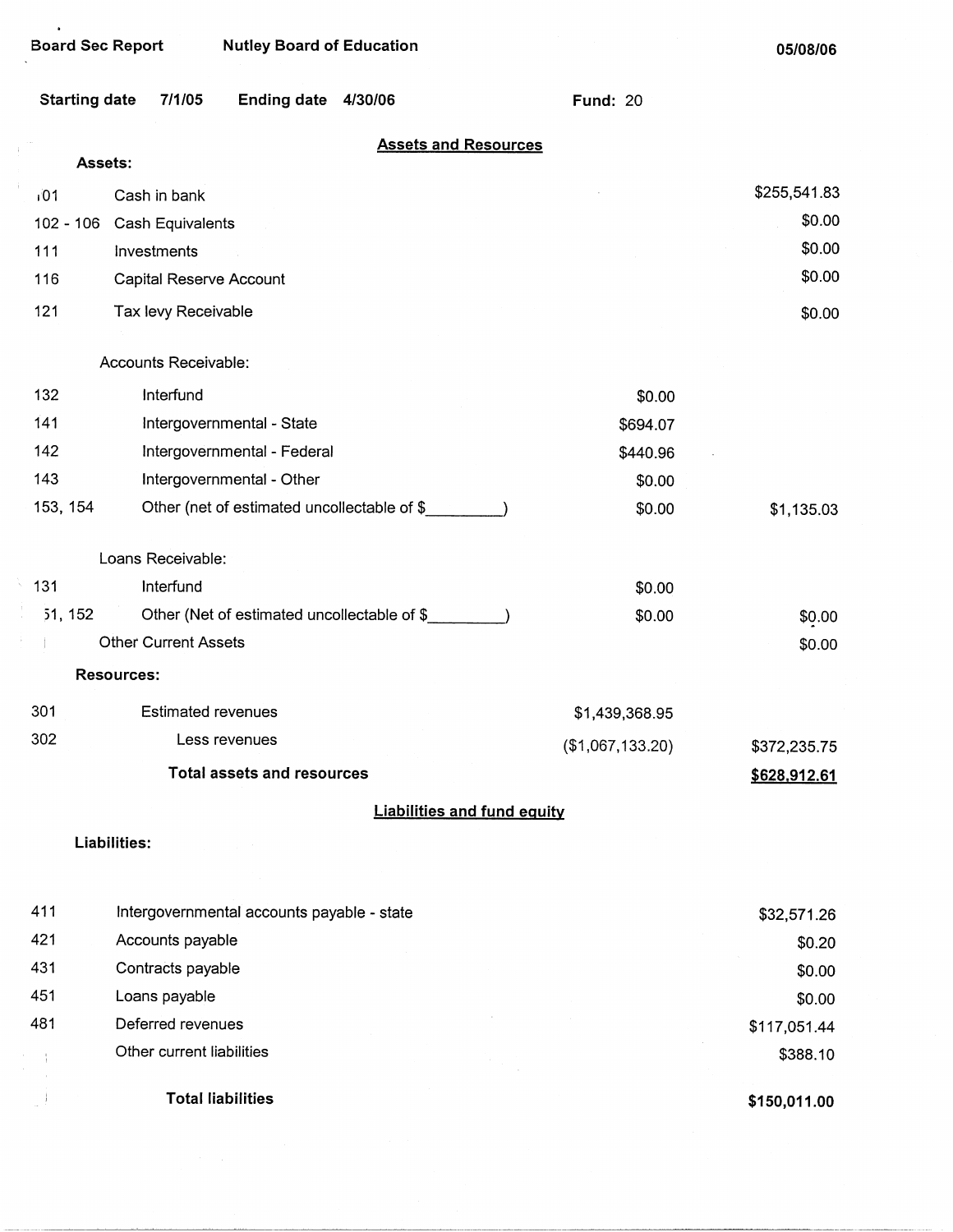$\ddot{\phantom{1}}$ 

**05/08/06** 

|          | <b>Starting date</b><br>7/1/05<br><b>Ending date</b><br>4/30/06 | <b>Fund: 20</b>  |              |
|----------|-----------------------------------------------------------------|------------------|--------------|
|          | <b>Assets and Resources</b>                                     |                  |              |
|          | Assets:                                                         |                  |              |
| 101      | Cash in bank                                                    |                  | \$255,541.83 |
|          | 102 - 106 Cash Equivalents                                      |                  | \$0.00       |
| 111      | Investments                                                     |                  | \$0.00       |
| 116      | Capital Reserve Account                                         |                  | \$0.00       |
| 121      | Tax levy Receivable                                             |                  | \$0.00       |
|          | Accounts Receivable:                                            |                  |              |
| 132      | Interfund                                                       | \$0.00           |              |
| 141      | Intergovernmental - State                                       | \$694.07         |              |
| 142      | Intergovernmental - Federal                                     | \$440.96         |              |
| 143      | Intergovernmental - Other                                       | \$0.00           |              |
| 153, 154 | Other (net of estimated uncollectable of \$                     | \$0.00           | \$1,135.03   |
|          | Loans Receivable:                                               |                  |              |
| 131      | Interfund                                                       | \$0.00           |              |
| 51, 152  | Other (Net of estimated uncollectable of \$                     | \$0.00           | \$0.00       |
|          | <b>Other Current Assets</b>                                     |                  | \$0.00       |
|          | <b>Resources:</b>                                               |                  |              |
| 301      | <b>Estimated revenues</b>                                       | \$1,439,368.95   |              |
| 302      | Less revenues                                                   | (\$1,067,133.20) | \$372,235.75 |
|          | <b>Total assets and resources</b>                               |                  | \$628,912.61 |
|          | <b>Liabilities and fund equity</b>                              |                  |              |
|          | Liabilities:                                                    |                  |              |
| 411      | Intergovernmental accounts payable - state                      |                  | \$32,571.26  |
| 421      | Accounts payable                                                |                  | \$0.20       |
| 431      | Contracts payable                                               |                  | \$0.00       |
| 451      | Loans payable                                                   |                  | \$0.00       |
| 481      | Deferred revenues                                               |                  | \$117,051.44 |
|          | Other current liabilities                                       |                  | \$388.10     |
|          |                                                                 |                  |              |
|          | <b>Total liabilities</b>                                        |                  | \$150,011.00 |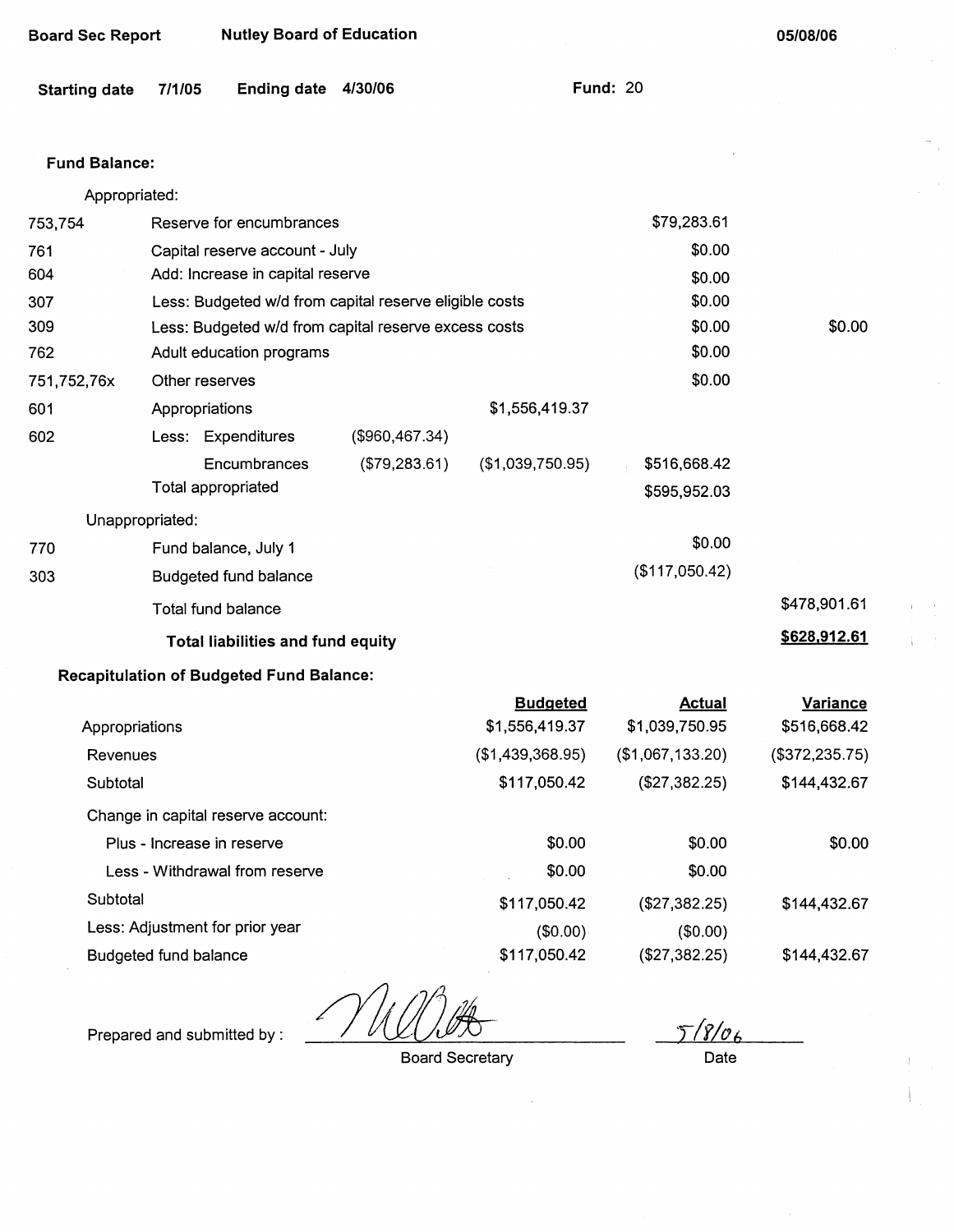| <b>Board Sec Report</b> |        | <b>Nutley Board of Education</b>                       |                |                                   |                                 | 05/08/06                        |  |
|-------------------------|--------|--------------------------------------------------------|----------------|-----------------------------------|---------------------------------|---------------------------------|--|
| <b>Starting date</b>    | 7/1/05 | <b>Ending date</b>                                     | 4/30/06        |                                   | <b>Fund: 20</b>                 |                                 |  |
| <b>Fund Balance:</b>    |        |                                                        |                |                                   |                                 |                                 |  |
| Appropriated:           |        |                                                        |                |                                   |                                 |                                 |  |
| 753,754                 |        | Reserve for encumbrances                               |                |                                   | \$79,283.61                     |                                 |  |
| 761                     |        | Capital reserve account - July                         |                |                                   | \$0.00                          |                                 |  |
| 604                     |        | Add: Increase in capital reserve                       |                |                                   | \$0.00                          |                                 |  |
| 307                     |        | Less: Budgeted w/d from capital reserve eligible costs |                |                                   | \$0.00                          |                                 |  |
| 309                     |        | Less: Budgeted w/d from capital reserve excess costs   |                |                                   | \$0.00                          | \$0.00                          |  |
| 762                     |        | Adult education programs                               |                |                                   | \$0.00                          |                                 |  |
| 751,752,76x             |        | Other reserves                                         |                |                                   | \$0.00                          |                                 |  |
| 601                     |        | Appropriations                                         |                | \$1,556,419.37                    |                                 |                                 |  |
| 602                     |        | Less: Expenditures                                     | (\$960,467.34) |                                   |                                 |                                 |  |
|                         |        | Encumbrances                                           | (\$79,283.61)  | (\$1,039,750.95)                  | \$516,668.42                    |                                 |  |
|                         |        | Total appropriated                                     |                |                                   | \$595,952.03                    |                                 |  |
| Unappropriated:         |        |                                                        |                |                                   |                                 |                                 |  |
| 770                     |        | Fund balance, July 1                                   |                |                                   | \$0.00                          |                                 |  |
| 303                     |        | Budgeted fund balance                                  |                |                                   | (\$117,050.42)                  |                                 |  |
|                         |        | Total fund balance                                     |                |                                   |                                 | \$478,901.61                    |  |
|                         |        | Total liabilities and fund equity                      |                |                                   |                                 | \$628,912.61                    |  |
|                         |        | <b>Recapitulation of Budgeted Fund Balance:</b>        |                |                                   |                                 |                                 |  |
| Appropriations          |        |                                                        |                | <b>Budgeted</b><br>\$1,556,419.37 | <b>Actual</b><br>\$1,039,750.95 | <b>Variance</b><br>\$516,668.42 |  |
| Revenues                |        |                                                        |                | (\$1,439,368.95)                  | (\$1,067,133.20)                | (\$372,235.75)                  |  |
| Subtotal                |        |                                                        |                | \$117,050.42                      | (\$27,382.25)                   | \$144,432.67                    |  |
|                         |        | Change in capital reserve account:                     |                |                                   |                                 |                                 |  |
|                         |        | Plus - Increase in reserve                             |                | \$0.00                            | \$0.00                          | \$0.00                          |  |
|                         |        | Less - Withdrawal from reserve                         |                | \$0.00                            | \$0.00                          |                                 |  |
| Subtotal                |        |                                                        |                | \$117,050.42                      | (\$27,382.25)                   | \$144,432.67                    |  |

Less: Adjustment for prior year

Budgeted fund balance

Prepared and submitted by:

Board Secretary

(\$0.00) \$117,050.42

 $\bar{z}$ 

 $5/8/06$ Date

\$144,432.67

(\$0.00) (\$27,382.25)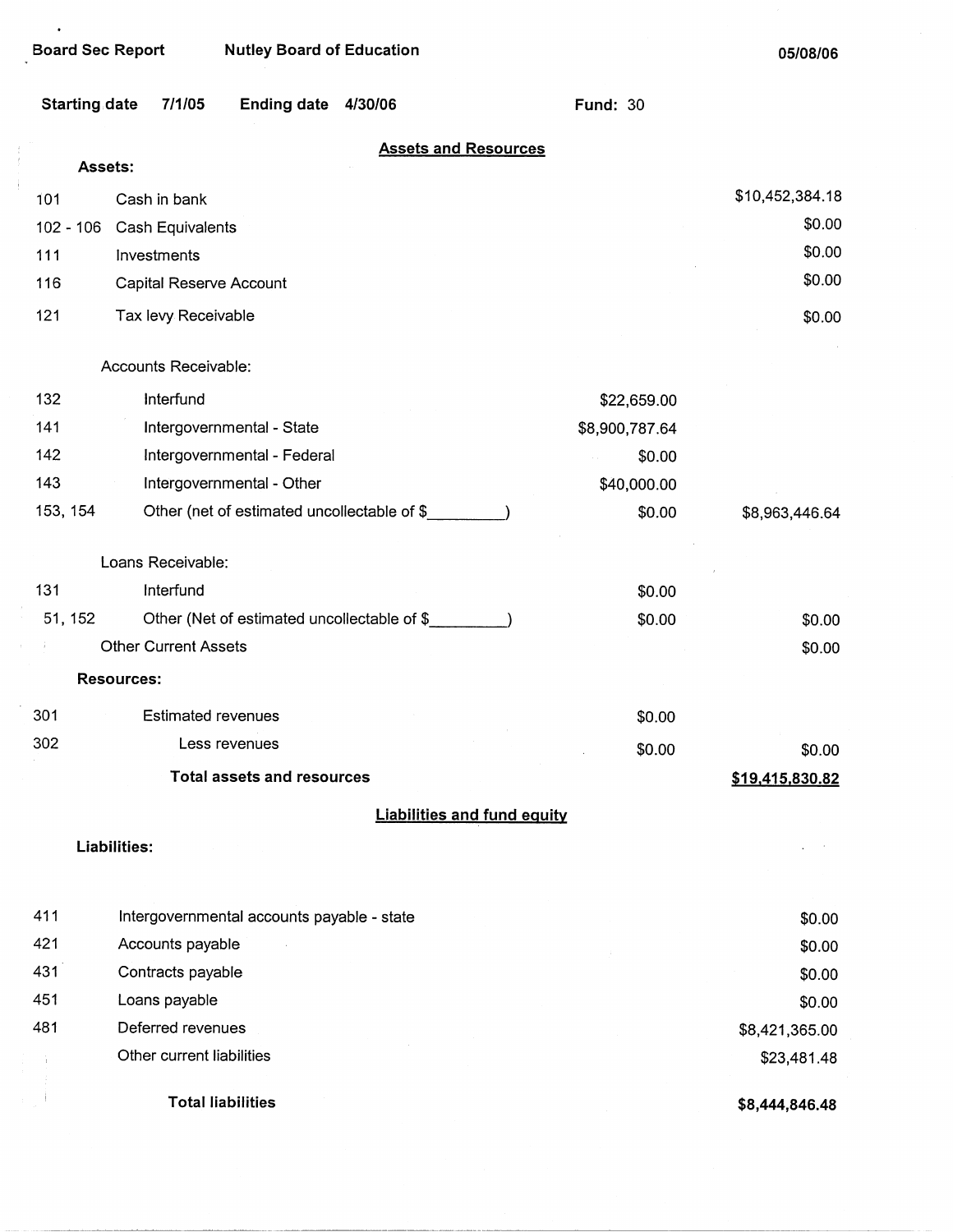$\bullet$ 

| <b>Starting date</b> | 7/1/05                      | Ending date 4/30/06                          |                                    | <b>Fund: 30</b> |                 |
|----------------------|-----------------------------|----------------------------------------------|------------------------------------|-----------------|-----------------|
| Assets:              |                             |                                              | <b>Assets and Resources</b>        |                 |                 |
| 101                  | Cash in bank                |                                              |                                    |                 | \$10,452,384.18 |
| $102 - 106$          | Cash Equivalents            |                                              |                                    |                 | \$0.00          |
| 111                  | Investments                 |                                              |                                    |                 | \$0.00          |
| 116                  | Capital Reserve Account     |                                              |                                    |                 | \$0.00          |
| 121                  |                             |                                              |                                    |                 |                 |
|                      | Tax levy Receivable         |                                              |                                    |                 | \$0.00          |
|                      | Accounts Receivable:        |                                              |                                    |                 |                 |
| 132                  | Interfund                   |                                              |                                    | \$22,659.00     |                 |
| 141                  |                             | Intergovernmental - State                    |                                    | \$8,900,787.64  |                 |
| 142                  |                             | Intergovernmental - Federal                  |                                    | \$0.00          |                 |
| 143                  |                             | Intergovernmental - Other                    |                                    | \$40,000.00     |                 |
| 153, 154             |                             | Other (net of estimated uncollectable of \$_ |                                    | \$0.00          | \$8,963,446.64  |
|                      | Loans Receivable:           |                                              |                                    |                 |                 |
| 131                  | Interfund                   |                                              |                                    | \$0.00          |                 |
| 51, 152              |                             | Other (Net of estimated uncollectable of \$  |                                    | \$0.00          | \$0.00          |
|                      | <b>Other Current Assets</b> |                                              |                                    |                 | \$0.00          |
| <b>Resources:</b>    |                             |                                              |                                    |                 |                 |
| 301                  | <b>Estimated revenues</b>   |                                              |                                    | \$0.00          |                 |
| 302                  |                             | Less revenues                                |                                    | \$0.00          | \$0.00          |
|                      |                             | <b>Total assets and resources</b>            |                                    |                 | \$19,415,830.82 |
|                      |                             |                                              | <b>Liabilities and fund equity</b> |                 |                 |
| Liabilities:         |                             |                                              |                                    |                 |                 |
| 411                  |                             | Intergovernmental accounts payable - state   |                                    |                 | \$0.00          |
| 421                  | Accounts payable            |                                              |                                    |                 | \$0.00          |
| 431                  | Contracts payable           |                                              |                                    |                 | \$0.00          |
| 451                  | Loans payable               |                                              |                                    |                 | \$0.00          |
| 481                  | Deferred revenues           |                                              |                                    |                 | \$8,421,365.00  |
|                      | Other current liabilities   |                                              |                                    |                 | \$23,481.48     |
|                      |                             | <b>Total liabilities</b>                     |                                    |                 | \$8,444,846.48  |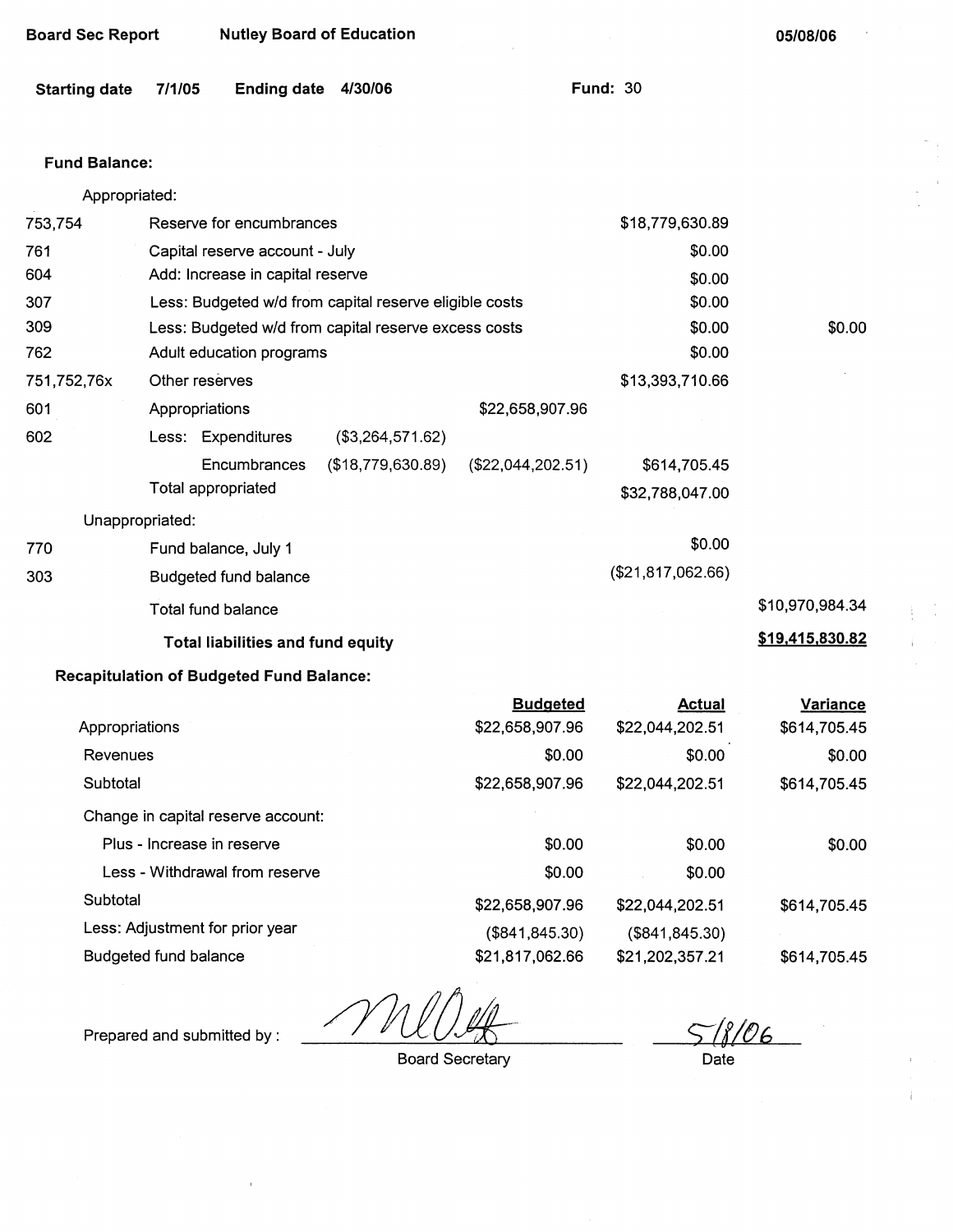| <b>Board Sec Report</b> |                | <b>Nutley Board of Education</b>                |                                                        |                   |                                 | 05/08/06        |
|-------------------------|----------------|-------------------------------------------------|--------------------------------------------------------|-------------------|---------------------------------|-----------------|
| <b>Starting date</b>    | 7/1/05         | <b>Ending date</b>                              | 4/30/06                                                |                   | <b>Fund: 30</b>                 |                 |
| <b>Fund Balance:</b>    |                |                                                 |                                                        |                   |                                 |                 |
| Appropriated:           |                |                                                 |                                                        |                   |                                 |                 |
| 753,754                 |                | Reserve for encumbrances                        |                                                        |                   | \$18,779,630.89                 |                 |
| 761                     |                | Capital reserve account - July                  |                                                        |                   | \$0.00                          |                 |
| 604                     |                | Add: Increase in capital reserve                |                                                        |                   | \$0.00                          |                 |
| 307                     |                |                                                 | Less: Budgeted w/d from capital reserve eligible costs |                   | \$0.00                          |                 |
| 309                     |                |                                                 | Less: Budgeted w/d from capital reserve excess costs   |                   | \$0.00                          | \$0.00          |
| 762                     |                | Adult education programs                        |                                                        |                   | \$0.00                          |                 |
| 751,752,76x             | Other reserves |                                                 |                                                        |                   | \$13,393,710.66                 |                 |
| 601                     | Appropriations |                                                 |                                                        | \$22,658,907.96   |                                 |                 |
| 602                     |                | Less: Expenditures                              | (\$3,264,571.62)                                       |                   |                                 |                 |
|                         |                | Encumbrances<br>Total appropriated              | (\$18,779,630.89)                                      | (\$22,044,202.51) | \$614,705.45<br>\$32,788,047.00 |                 |
| Unappropriated:         |                |                                                 |                                                        |                   |                                 |                 |
| 770                     |                | Fund balance, July 1                            |                                                        |                   | \$0.00                          |                 |
| 303                     |                | Budgeted fund balance                           |                                                        |                   | (\$21,817,062.66)               |                 |
|                         |                | Total fund balance                              |                                                        |                   |                                 | \$10,970,984.34 |
|                         |                | <b>Total liabilities and fund equity</b>        |                                                        |                   |                                 | \$19,415,830.82 |
|                         |                | <b>Recapitulation of Budgeted Fund Balance:</b> |                                                        |                   |                                 |                 |
|                         |                |                                                 |                                                        | <b>Budgeted</b>   | <b>Actual</b>                   | <b>Variance</b> |
| Appropriations          |                |                                                 |                                                        | \$22,658,907.96   | \$22,044,202.51                 | \$614,705.45    |
| Revenues                |                |                                                 |                                                        | \$0.00            | \$0.00                          | \$0.00          |
| Subtotal                |                |                                                 |                                                        | \$22,658,907.96   | \$22,044,202.51                 | \$614,705.45    |
|                         |                | Change in capital reserve account:              |                                                        |                   |                                 |                 |
|                         |                | Plus - Increase in reserve                      |                                                        | \$0.00            | \$0.00                          | \$0.00          |
|                         |                | Less - Withdrawal from reserve                  |                                                        | \$0.00            | \$0.00                          |                 |

Subtotal

Less: Adjustment for prior year Budgeted fund balance

Prepared and submitted by :

Board Secretary

\$22,658,907.96 (\$841,845.30) \$21,817,062.66

<u>5 [f / </u>

\$614,705.45

\$614,705.45

Date

\$22,044,202.51 (\$841,845.30) \$21,202,357.21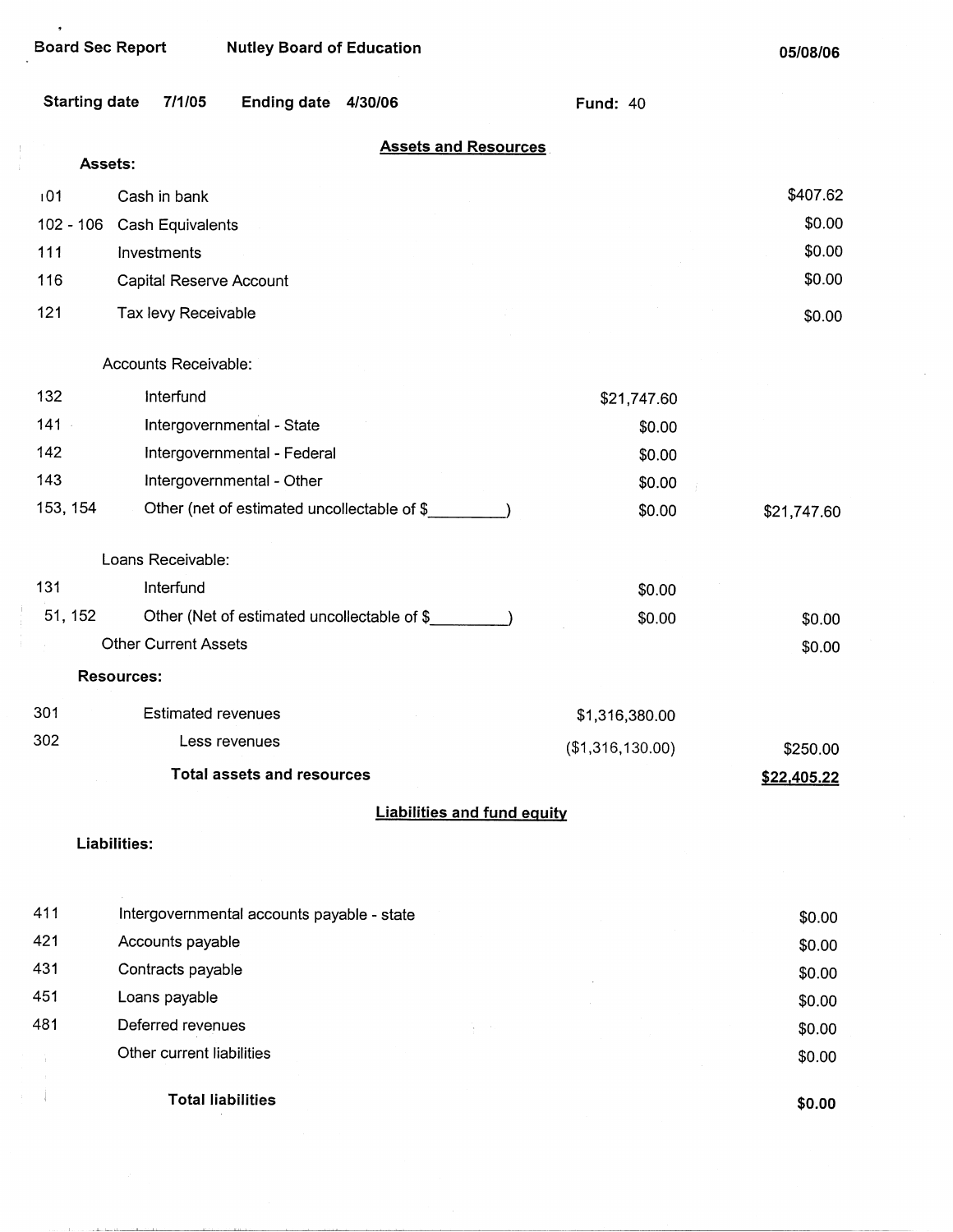مرابة ومساري بناور

 $\bullet$ 

 $\begin{array}{c} 1 \\ 1 \\ 1 \end{array}$ 

| <b>Starting date</b> | 7/1/05                                     | Ending date 4/30/06                         |  |                                    | <b>Fund: 40</b>  |             |  |  |
|----------------------|--------------------------------------------|---------------------------------------------|--|------------------------------------|------------------|-------------|--|--|
|                      | <b>Assets and Resources</b><br>Assets:     |                                             |  |                                    |                  |             |  |  |
| 101                  | Cash in bank                               |                                             |  |                                    |                  | \$407.62    |  |  |
| $102 - 106$          | Cash Equivalents                           |                                             |  |                                    |                  | \$0.00      |  |  |
| 111                  | Investments                                |                                             |  |                                    |                  | \$0.00      |  |  |
| 116                  | Capital Reserve Account                    |                                             |  |                                    |                  | \$0.00      |  |  |
| 121                  | Tax levy Receivable                        |                                             |  |                                    |                  | \$0.00      |  |  |
|                      |                                            |                                             |  |                                    |                  |             |  |  |
|                      | Accounts Receivable:                       |                                             |  |                                    |                  |             |  |  |
| 132                  | Interfund                                  |                                             |  |                                    | \$21,747.60      |             |  |  |
| $141 -$              |                                            | Intergovernmental - State                   |  |                                    | \$0.00           |             |  |  |
| 142                  |                                            | Intergovernmental - Federal                 |  |                                    | \$0.00           |             |  |  |
| 143                  |                                            | Intergovernmental - Other                   |  |                                    | \$0.00           |             |  |  |
| 153, 154             |                                            | Other (net of estimated uncollectable of \$ |  |                                    | \$0.00           | \$21,747.60 |  |  |
|                      | Loans Receivable:                          |                                             |  |                                    |                  |             |  |  |
| 131                  | Interfund                                  |                                             |  |                                    | \$0.00           |             |  |  |
| 51, 152              |                                            | Other (Net of estimated uncollectable of \$ |  |                                    | \$0.00           | \$0.00      |  |  |
|                      | <b>Other Current Assets</b>                |                                             |  |                                    |                  | \$0.00      |  |  |
|                      | <b>Resources:</b>                          |                                             |  |                                    |                  |             |  |  |
| 301                  | <b>Estimated revenues</b>                  |                                             |  |                                    | \$1,316,380.00   |             |  |  |
| 302                  |                                            | Less revenues                               |  |                                    | (\$1,316,130.00) | \$250.00    |  |  |
|                      |                                            | <b>Total assets and resources</b>           |  |                                    |                  | \$22,405.22 |  |  |
|                      |                                            |                                             |  | <b>Liabilities and fund equity</b> |                  |             |  |  |
|                      | Liabilities:                               |                                             |  |                                    |                  |             |  |  |
| 411                  |                                            |                                             |  |                                    |                  |             |  |  |
| 421                  | Intergovernmental accounts payable - state |                                             |  |                                    |                  | \$0.00      |  |  |
| 431                  | Accounts payable                           |                                             |  |                                    |                  | \$0.00      |  |  |
| 451                  | Contracts payable                          |                                             |  |                                    |                  | \$0.00      |  |  |
| 481                  | Loans payable<br>Deferred revenues         |                                             |  |                                    |                  | \$0.00      |  |  |
|                      | Other current liabilities                  |                                             |  |                                    |                  | \$0.00      |  |  |
|                      |                                            |                                             |  |                                    |                  | \$0.00      |  |  |
|                      | <b>Total liabilities</b>                   |                                             |  |                                    |                  | \$0.00      |  |  |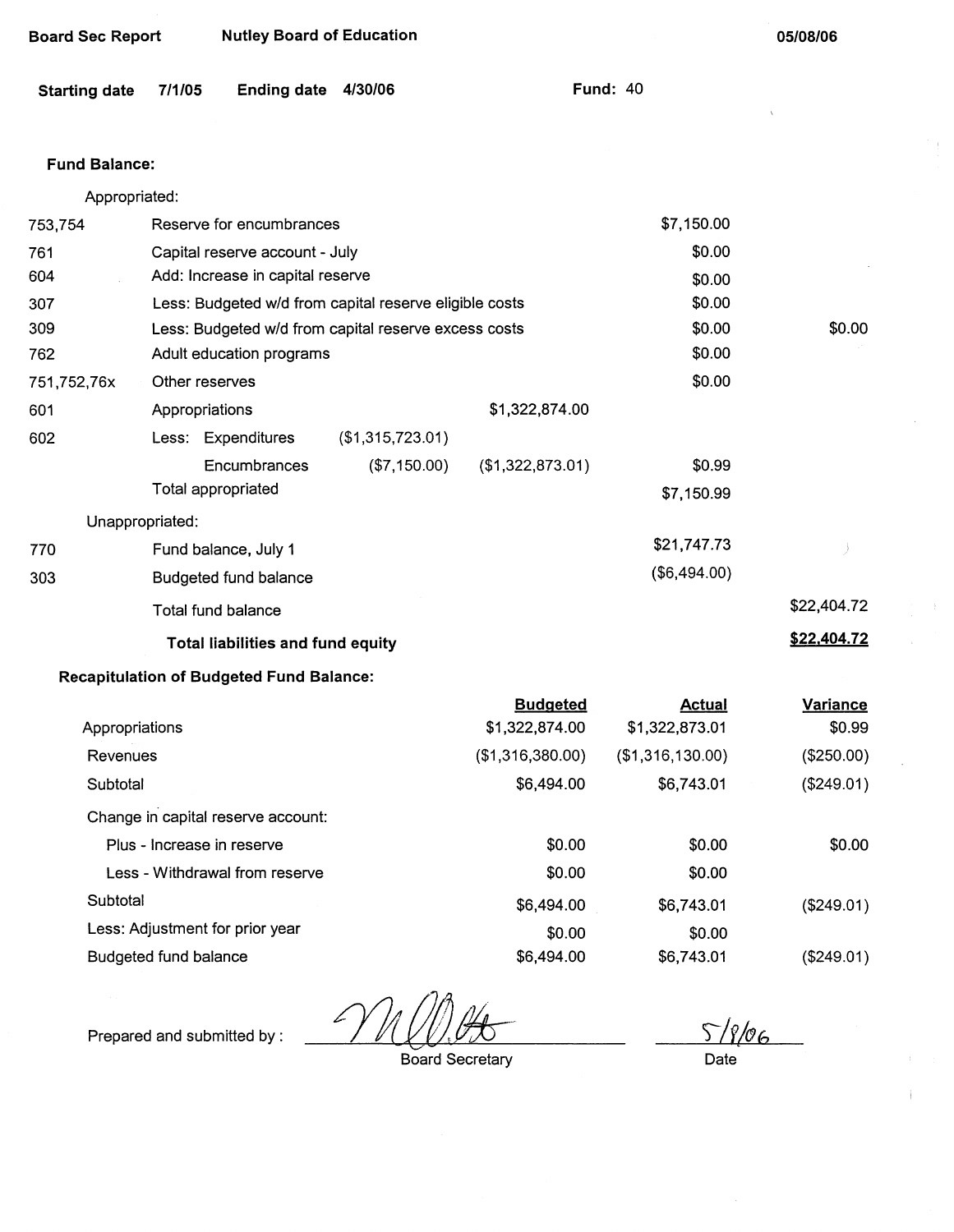| <b>Starting date</b> | 7/1/05             | <b>Ending date</b>                              | 4/30/06                                                |                                   | <b>Fund: 40</b>                 |                    |
|----------------------|--------------------|-------------------------------------------------|--------------------------------------------------------|-----------------------------------|---------------------------------|--------------------|
| <b>Fund Balance:</b> |                    |                                                 |                                                        |                                   |                                 |                    |
| Appropriated:        |                    |                                                 |                                                        |                                   |                                 |                    |
| 753,754              |                    | Reserve for encumbrances                        |                                                        |                                   | \$7,150.00                      |                    |
| 761                  |                    | Capital reserve account - July                  |                                                        |                                   | \$0.00                          |                    |
| 604                  |                    | Add: Increase in capital reserve                |                                                        |                                   | \$0.00                          |                    |
| 307                  |                    |                                                 | Less: Budgeted w/d from capital reserve eligible costs |                                   | \$0.00                          |                    |
| 309                  |                    |                                                 | Less: Budgeted w/d from capital reserve excess costs   |                                   | \$0.00                          | \$0.00             |
| 762                  |                    | Adult education programs                        |                                                        |                                   | \$0.00                          |                    |
| 751,752,76x          | Other reserves     |                                                 |                                                        |                                   | \$0.00                          |                    |
| 601                  | Appropriations     |                                                 |                                                        | \$1,322,874.00                    |                                 |                    |
| 602                  |                    | Less: Expenditures                              | (\$1,315,723.01)                                       |                                   |                                 |                    |
|                      |                    | Encumbrances                                    | (\$7,150.00)                                           | (\$1,322,873.01)                  | \$0.99                          |                    |
|                      | Total appropriated |                                                 |                                                        |                                   | \$7,150.99                      |                    |
| Unappropriated:      |                    |                                                 |                                                        |                                   |                                 |                    |
| 770                  |                    | Fund balance, July 1                            |                                                        |                                   | \$21,747.73                     |                    |
| 303                  |                    | <b>Budgeted fund balance</b>                    |                                                        |                                   | (\$6,494.00)                    |                    |
|                      | Total fund balance |                                                 |                                                        |                                   |                                 | \$22,404.72        |
|                      |                    | Total liabilities and fund equity               |                                                        |                                   |                                 | \$22,404.72        |
|                      |                    | <b>Recapitulation of Budgeted Fund Balance:</b> |                                                        |                                   |                                 |                    |
| Appropriations       |                    |                                                 |                                                        | <b>Budgeted</b><br>\$1,322,874.00 | <b>Actual</b><br>\$1,322,873.01 | Variance<br>\$0.99 |
| <b>Revenues</b>      |                    |                                                 |                                                        | (\$1,316,380.00)                  | (\$1,316,130.00)                | (\$250.00)         |
| Subtotal             |                    |                                                 |                                                        | \$6,494.00                        | \$6,743.01                      | (\$249.01)         |
|                      |                    | Change in capital reserve account:              |                                                        |                                   |                                 |                    |
|                      |                    |                                                 |                                                        |                                   |                                 |                    |

|                                    | Budgeted         | Actual           | variance   |
|------------------------------------|------------------|------------------|------------|
| Appropriations                     | \$1,322,874.00   | \$1,322,873.01   | \$0.99     |
| Revenues                           | (\$1,316,380.00) | (\$1,316,130.00) | (\$250.00) |
| Subtotal                           | \$6,494.00       | \$6,743.01       | (\$249.01) |
| Change in capital reserve account: |                  |                  |            |
| Plus - Increase in reserve         | \$0.00           | \$0.00           | \$0.00     |
| Less - Withdrawal from reserve     | \$0.00           | \$0.00           |            |
| Subtotal                           | \$6,494.00       | \$6,743.01       | (\$249.01) |
| Less: Adjustment for prior year    | \$0.00           | \$0.00           |            |
| Budgeted fund balance              | \$6,494.00       | \$6,743.01       | (\$249.01) |

/<br>Prepared and submitted by : **//** 

Board Secretary

 $5/8/06$ Date

 $\overline{1}$ 

**05/08/06** 

 $\bar{\Sigma}$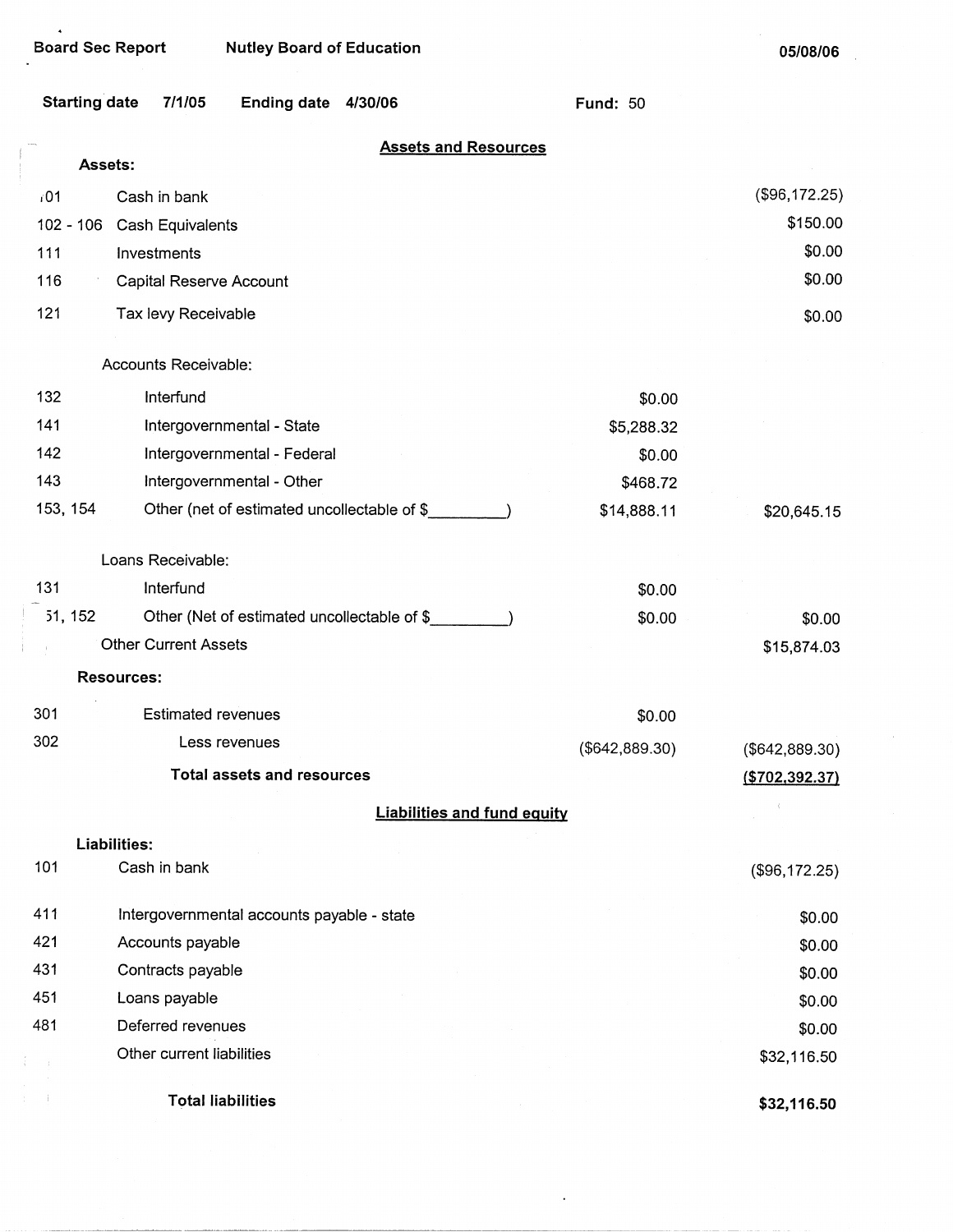$\bullet$ 

Board Sec Report Nutley Board of Education

**05/08/06** 

|                                        | <b>Starting date</b><br>7/1/05                          | Ending date 4/30/06               |  |                                    | <b>Fund: 50</b> |                |
|----------------------------------------|---------------------------------------------------------|-----------------------------------|--|------------------------------------|-----------------|----------------|
| <b>Assets and Resources</b><br>Assets: |                                                         |                                   |  |                                    |                 |                |
| /01                                    | Cash in bank                                            |                                   |  |                                    |                 | (\$96,172.25)  |
|                                        | $102 - 106$<br>Cash Equivalents                         | \$150.00                          |  |                                    |                 |                |
| 111                                    | Investments                                             | \$0.00                            |  |                                    |                 |                |
| 116                                    | Capital Reserve Account                                 |                                   |  |                                    |                 | \$0.00         |
| 121                                    | Tax levy Receivable                                     |                                   |  |                                    |                 | \$0.00         |
|                                        | Accounts Receivable:                                    |                                   |  |                                    |                 |                |
|                                        |                                                         |                                   |  |                                    |                 |                |
| 132                                    | Interfund                                               |                                   |  |                                    | \$0.00          |                |
| 141                                    | Intergovernmental - State                               |                                   |  |                                    | \$5,288.32      |                |
| 142                                    | Intergovernmental - Federal                             |                                   |  |                                    | \$0.00          |                |
| 143                                    | Intergovernmental - Other                               |                                   |  |                                    | \$468.72        |                |
|                                        | 153, 154<br>Other (net of estimated uncollectable of \$ |                                   |  |                                    | \$14,888.11     | \$20,645.15    |
|                                        | Loans Receivable:                                       |                                   |  |                                    |                 |                |
| 131                                    | Interfund                                               |                                   |  |                                    | \$0.00          |                |
|                                        | 51, 152<br>Other (Net of estimated uncollectable of \$  |                                   |  |                                    | \$0.00          | \$0.00         |
|                                        | <b>Other Current Assets</b>                             |                                   |  |                                    |                 | \$15,874.03    |
|                                        | <b>Resources:</b>                                       |                                   |  |                                    |                 |                |
| 301                                    | <b>Estimated revenues</b>                               |                                   |  |                                    | \$0.00          |                |
| 302                                    | Less revenues<br>(\$642,889.30)                         |                                   |  | (\$642,889.30)                     |                 |                |
|                                        |                                                         | <b>Total assets and resources</b> |  |                                    |                 | (\$702,392.37) |
|                                        |                                                         |                                   |  | <b>Liabilities and fund equity</b> |                 |                |
|                                        | <b>Liabilities:</b>                                     |                                   |  |                                    |                 |                |
| 101                                    | Cash in bank                                            |                                   |  |                                    |                 | (\$96,172.25)  |
| 411                                    | Intergovernmental accounts payable - state              |                                   |  |                                    |                 | \$0.00         |
| 421                                    | Accounts payable                                        |                                   |  |                                    |                 | \$0.00         |
| 431                                    | Contracts payable                                       |                                   |  |                                    |                 | \$0.00         |
| 451                                    | Loans payable                                           |                                   |  |                                    |                 | \$0.00         |
| 481                                    | Deferred revenues                                       |                                   |  |                                    |                 | \$0.00         |
|                                        | Other current liabilities                               |                                   |  |                                    |                 | \$32,116.50    |
|                                        | <b>Total liabilities</b>                                |                                   |  |                                    |                 | \$32,116.50    |

 $\sim$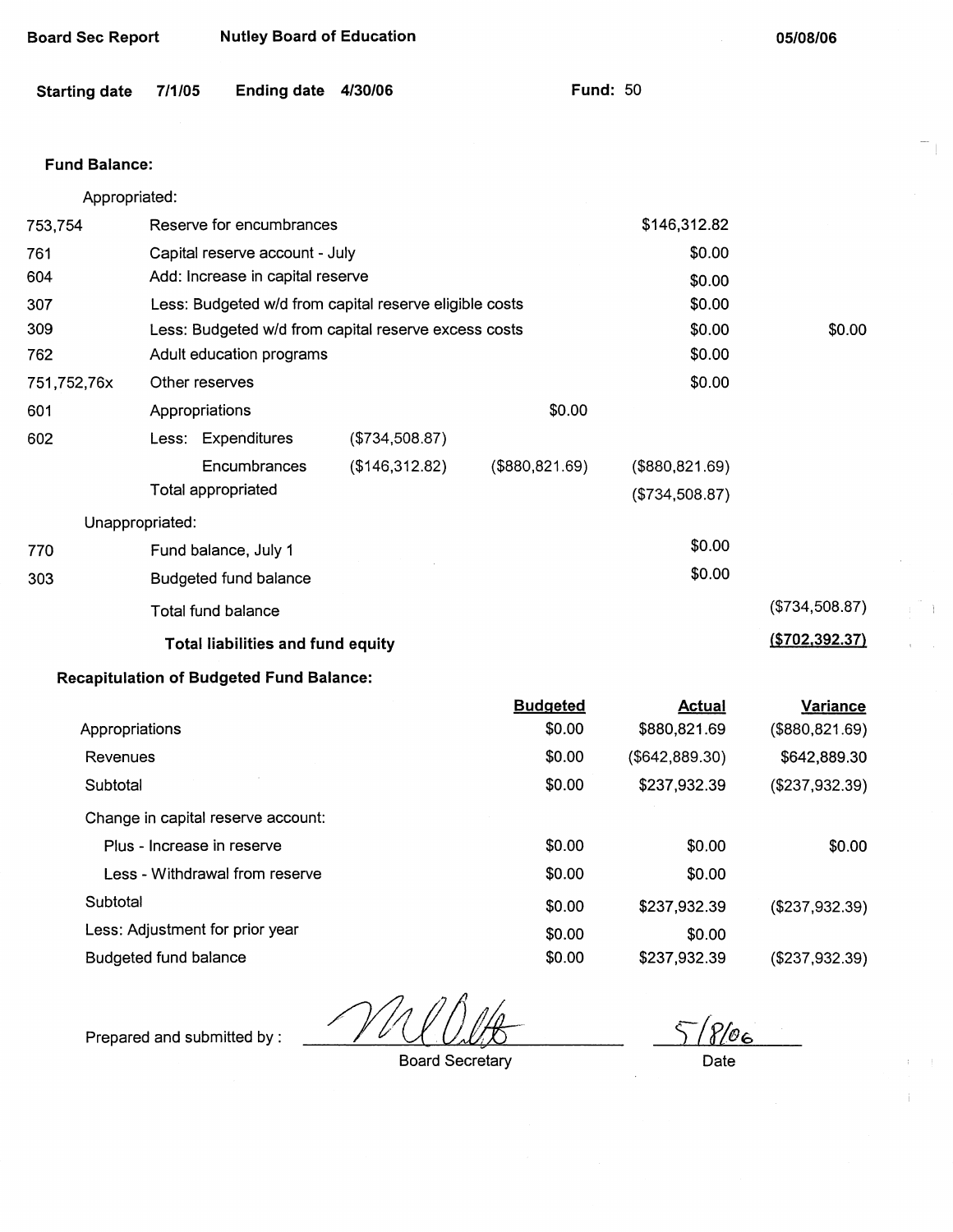| <b>Starting date</b> | 7/1/05                                                 | <b>Ending date</b>                              | 4/30/06                                              |                 | <b>Fund: 50</b> |                  |
|----------------------|--------------------------------------------------------|-------------------------------------------------|------------------------------------------------------|-----------------|-----------------|------------------|
| <b>Fund Balance:</b> |                                                        |                                                 |                                                      |                 |                 |                  |
| Appropriated:        |                                                        |                                                 |                                                      |                 |                 |                  |
| 753,754              |                                                        | Reserve for encumbrances                        |                                                      |                 | \$146,312.82    |                  |
| 761                  |                                                        | Capital reserve account - July                  |                                                      |                 | \$0.00          |                  |
| 604                  |                                                        | Add: Increase in capital reserve                |                                                      |                 | \$0.00          |                  |
| 307                  | Less: Budgeted w/d from capital reserve eligible costs |                                                 |                                                      |                 | \$0.00          |                  |
| 309                  |                                                        |                                                 | Less: Budgeted w/d from capital reserve excess costs |                 | \$0.00          | \$0.00           |
| 762                  |                                                        | Adult education programs                        |                                                      |                 | \$0.00          |                  |
| 751,752,76x          | Other reserves                                         |                                                 |                                                      |                 | \$0.00          |                  |
| 601                  | Appropriations                                         |                                                 |                                                      | \$0.00          |                 |                  |
| 602                  |                                                        | Less: Expenditures                              | (\$734,508.87)                                       |                 |                 |                  |
|                      |                                                        | Encumbrances                                    | (\$146,312.82)                                       | (\$880, 821.69) | (\$880, 821.69) |                  |
|                      |                                                        | Total appropriated                              |                                                      |                 | (\$734,508.87)  |                  |
| Unappropriated:      |                                                        |                                                 |                                                      |                 |                 |                  |
| 770                  |                                                        | Fund balance, July 1                            |                                                      |                 | \$0.00          |                  |
| 303                  |                                                        | Budgeted fund balance                           |                                                      |                 | \$0.00          |                  |
|                      |                                                        | Total fund balance                              |                                                      |                 |                 | (\$734,508.87)   |
|                      | <b>Total liabilities and fund equity</b>               |                                                 |                                                      |                 |                 | ( \$702, 392.37) |
|                      |                                                        | <b>Recapitulation of Budgeted Fund Balance:</b> |                                                      |                 |                 |                  |
|                      |                                                        |                                                 |                                                      | <b>Budgeted</b> | <b>Actual</b>   | <b>Variance</b>  |
| Appropriations       |                                                        |                                                 |                                                      | \$0.00          | \$880,821.69    | (\$880, 821.69)  |
| Revenues             |                                                        |                                                 |                                                      | \$0.00          | (\$642, 889.30) | \$642,889.30     |
| Subtotal             |                                                        |                                                 |                                                      | \$0.00          | \$237,932.39    | (\$237,932.39)   |
|                      |                                                        | Change in capital reserve account:              |                                                      |                 |                 |                  |
|                      | Plus - Increase in reserve                             |                                                 |                                                      | \$0.00          | \$0.00          | \$0.00           |
|                      |                                                        | Less - Withdrawal from reserve                  |                                                      | \$0.00          | \$0.00          |                  |
| Subtotal             |                                                        |                                                 |                                                      | \$0.00          | \$237,932.39    | (\$237,932.39)   |

Less: Adjustment for prior year Budgeted fund balance

Prepared and submitted by :

Board Secretary

\$0.00 \$0.00

 $\sqrt[2]{\mathscr{O}_6}$ Date

(\$237,932.39)

\$0.00

\$237,932.39

|     | Unappropriated:       |  |
|-----|-----------------------|--|
| 770 | Fund balance, July 1  |  |
| 303 | Budgeted fund balance |  |
|     | Total fund halance    |  |

## Board Sec Report Nutley Board of Education

**05/08/06** 

T.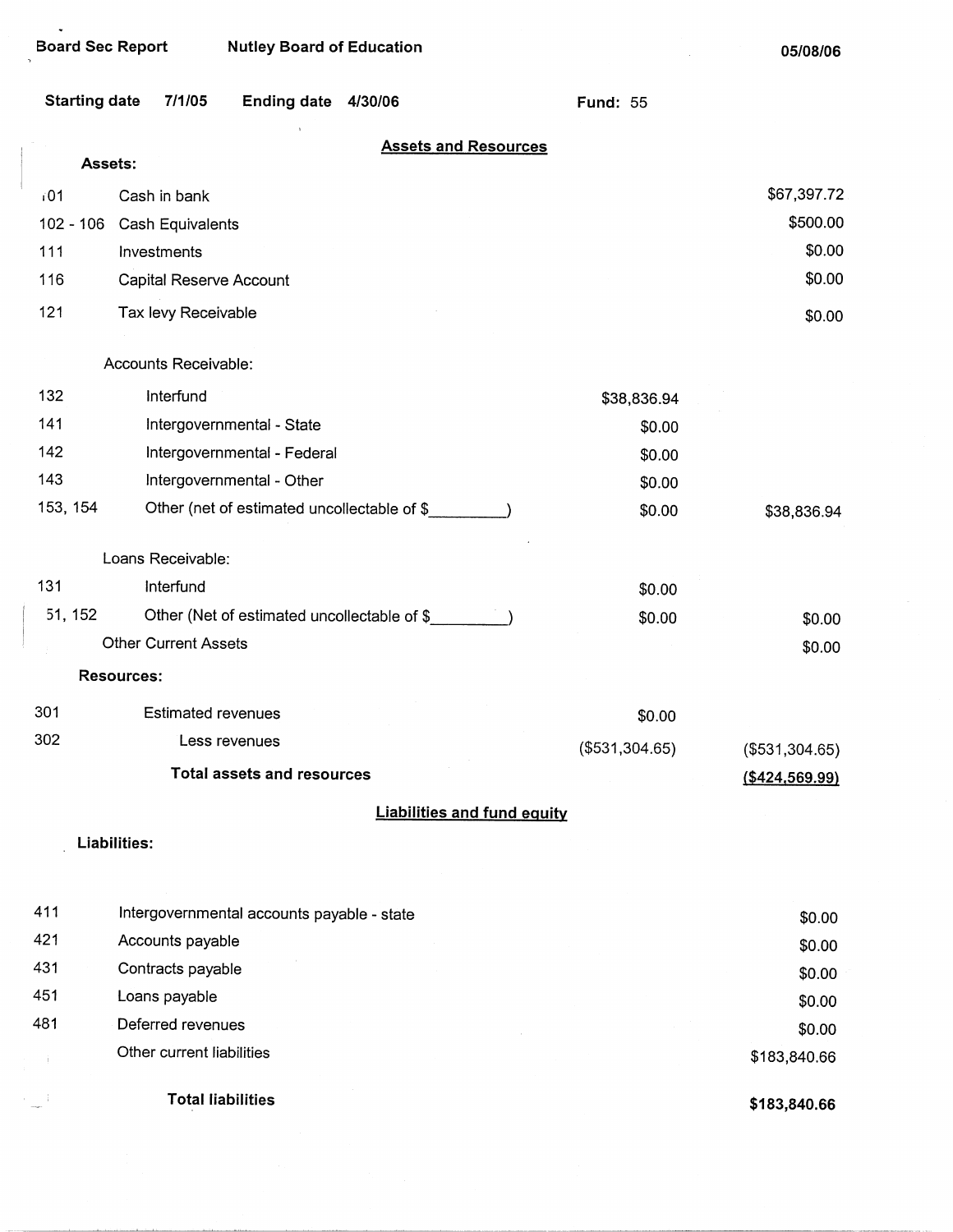Board Sec Report Nutley Board of Education

05/08/06

|                      |                                             |                 | 00/00/00          |
|----------------------|---------------------------------------------|-----------------|-------------------|
| <b>Starting date</b> | 7/1/05<br><b>Ending date</b><br>4/30/06     | <b>Fund: 55</b> |                   |
|                      | <b>Assets and Resources</b>                 |                 |                   |
| Assets:              |                                             |                 |                   |
| $i$ 01               | Cash in bank                                |                 | \$67,397.72       |
| $102 - 106$          | Cash Equivalents                            |                 | \$500.00          |
| 111                  | Investments                                 |                 | \$0.00            |
| 116                  | Capital Reserve Account                     |                 | \$0.00            |
| 121                  | Tax levy Receivable                         |                 | \$0.00            |
|                      | Accounts Receivable:                        |                 |                   |
| 132                  | Interfund                                   | \$38,836.94     |                   |
| 141                  | Intergovernmental - State                   | \$0.00          |                   |
| 142                  | Intergovernmental - Federal                 | \$0.00          |                   |
| 143                  | Intergovernmental - Other                   | \$0.00          |                   |
| 153, 154             | Other (net of estimated uncollectable of \$ | \$0.00          | \$38,836.94       |
|                      | Loans Receivable:                           |                 |                   |
| 131                  | Interfund                                   | \$0.00          |                   |
| 51, 152              | Other (Net of estimated uncollectable of \$ | \$0.00          | \$0.00            |
|                      | <b>Other Current Assets</b>                 |                 | \$0.00            |
|                      | <b>Resources:</b>                           |                 |                   |
| 301                  | <b>Estimated revenues</b>                   | \$0.00          |                   |
| 302                  | Less revenues                               | (\$531,304.65)  | $(\$531,304.65)$  |
|                      | <b>Total assets and resources</b>           |                 | $($ \$424,569.99) |
|                      | <b>Liabilities and fund equity</b>          |                 |                   |
|                      | Liabilities:                                |                 |                   |
| 411                  | Intergovernmental accounts payable - state  |                 |                   |
| 421                  | Accounts payable                            |                 | \$0.00            |
| 431                  | Contracts payable                           |                 | \$0.00            |
| 451                  | Loans payable                               |                 | \$0.00<br>\$0.00  |
| 481                  | Deferred revenues                           |                 | ድስ ሰሰ             |

Deferred revenues Other current liabilities \$0.00 \$183,840.66

**Total liabilities** 

 $\sim$ i $\,$ 

 $\subset \mathbb{R}^+$ 

**\$183,840.66**